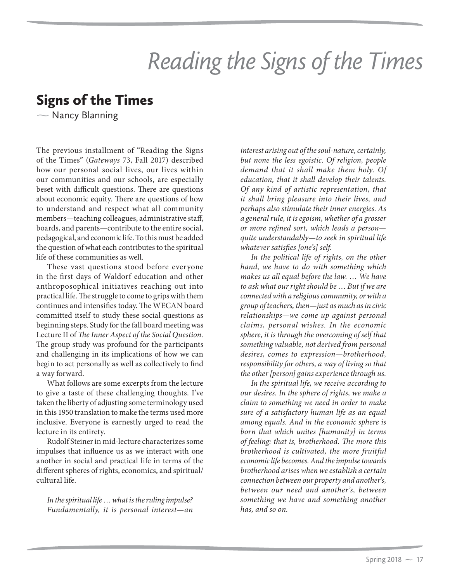## Reading the Signs of the Times

 $\sim$  Nancy Blanning Nancy Blanning

The previous installment of "Reading the Signs of the Times" (*Gateways* 73, Fall 2017) described how our personal social lives, our lives within our communities and our schools, are especially beset with difficult questions. There are questions about economic equity. There are questions of how to understand and respect what all community members—teaching colleagues, administrative staff, boards, and parents—contribute to the entire social, pedagogical, and economic life. To this must be added the question of what each contributes to the spiritual life of these communities as well.

These vast questions stood before everyone in the first days of Waldorf education and other anthroposophical initiatives reaching out into practical life. The struggle to come to grips with them continues and intensifies today. The WECAN board committed itself to study these social questions as beginning steps. Study for the fall board meeting was Lecture II of *The Inner Aspect of the Social Question.* The group study was profound for the participants and challenging in its implications of how we can begin to act personally as well as collectively to find a way forward.

What follows are some excerpts from the lecture to give a taste of these challenging thoughts. I've taken the liberty of adjusting some terminology used in this 1950 translation to make the terms used more inclusive. Everyone is earnestly urged to read the lecture in its entirety.

Rudolf Steiner in mid-lecture characterizes some impulses that influence us as we interact with one another in social and practical life in terms of the different spheres of rights, economics, and spiritual/ cultural life.

*In the spiritual life* … *what is the ruling impulse? Fundamentally, it is personal interest—an* 

*interest arising out of the soul-nature, certainly, but none the less egoistic. Of religion, people demand that it shall make them holy. Of education, that it shall develop their talents. Of any kind of artistic representation, that it shall bring pleasure into their lives, and perhaps also stimulate their inner energies. As a general rule, it is egoism, whether of a grosser or more refined sort, which leads a person quite understandably—to seek in spiritual life whatever satisfies [one's] self.*

*In the political life of rights, on the other hand, we have to do with something which makes us all equal before the law.* … *We have to ask what our right should be* … *But if we are connected with a religious community, or with a group of teachers, then—just as much as in civic relationships—we come up against personal claims, personal wishes. In the economic sphere, it is through the overcoming of self that something valuable, not derived from personal desires, comes to expression—brotherhood, responsibility for others, a way of living so that the other [person] gains experience through us.*

*In the spiritual life, we receive according to our desires. In the sphere of rights, we make a claim to something we need in order to make sure of a satisfactory human life as an equal among equals. And in the economic sphere is born that which unites [humanity] in terms of feeling: that is, brotherhood. The more this brotherhood is cultivated, the more fruitful economic life becomes. And the impulse towards brotherhood arises when we establish a certain connection between our property and another's, between our need and another's, between something we have and something another has, and so on.*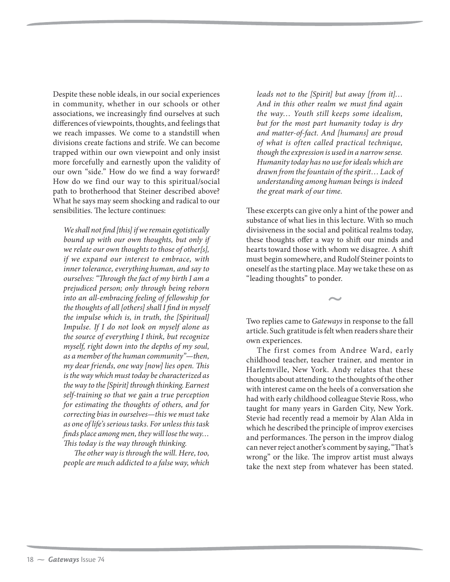Despite these noble ideals, in our social experiences in community, whether in our schools or other associations, we increasingly find ourselves at such differences of viewpoints, thoughts, and feelings that we reach impasses. We come to a standstill when divisions create factions and strife. We can become trapped within our own viewpoint and only insist more forcefully and earnestly upon the validity of our own "side." How do we find a way forward? How do we find our way to this spiritual/social path to brotherhood that Steiner described above? What he says may seem shocking and radical to our sensibilities. The lecture continues:

*We shall not find [this] if we remain egotistically bound up with our own thoughts, but only if we relate our own thoughts to those of other[s], if we expand our interest to embrace, with inner tolerance, everything human, and say to ourselves: "Through the fact of my birth I am a prejudiced person; only through being reborn into an all-embracing feeling of fellowship for the thoughts of all [others] shall I find in myself the impulse which is, in truth, the [Spiritual] Impulse. If I do not look on myself alone as the source of everything I think, but recognize myself, right down into the depths of my soul, as a member of the human community"—then, my dear friends, one way [now] lies open. This is the way which must today be characterized as the way to the [Spirit] through thinking. Earnest self-training so that we gain a true perception for estimating the thoughts of others, and for correcting bias in ourselves—this we must take as one of life's serious tasks. For unless this task finds place among men, they will lose the way… This today is the way through thinking.*

*The other way is through the will. Here, too, people are much addicted to a false way, which*  *leads not to the [Spirit] but away [from it]*… *And in this other realm we must find again the way*… *Youth still keeps some idealism, but for the most part humanity today is dry and matter-of-fact. And [humans] are proud of what is often called practical technique, though the expression is used in a narrow sense. Humanity today has no use for ideals which are drawn from the fountain of the spirit*… *Lack of understanding among human beings is indeed the great mark of our time.*

These excerpts can give only a hint of the power and substance of what lies in this lecture. With so much divisiveness in the social and political realms today, these thoughts offer a way to shift our minds and hearts toward those with whom we disagree. A shift must begin somewhere, and Rudolf Steiner points to oneself as the starting place. May we take these on as "leading thoughts" to ponder.

Two replies came to *Gateways* in response to the fall article. Such gratitude is felt when readers share their own experiences.

The first comes from Andree Ward, early childhood teacher, teacher trainer, and mentor in Harlemville, New York. Andy relates that these thoughts about attending to the thoughts of the other with interest came on the heels of a conversation she had with early childhood colleague Stevie Ross, who taught for many years in Garden City, New York. Stevie had recently read a memoir by Alan Alda in which he described the principle of improv exercises and performances. The person in the improv dialog can never reject another's comment by saying, "That's wrong" or the like. The improv artist must always take the next step from whatever has been stated.